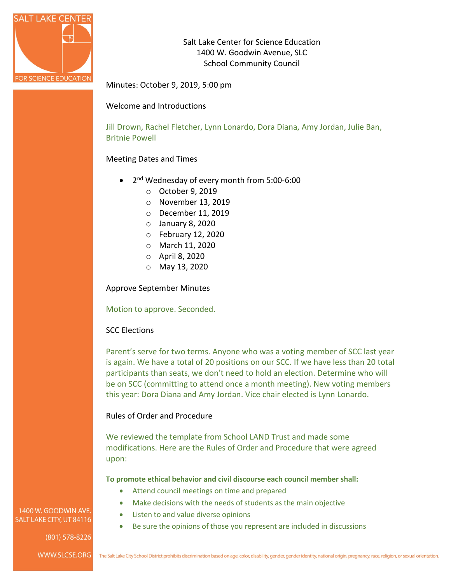

Salt Lake Center for Science Education 1400 W. Goodwin Avenue, SLC School Community Council

Minutes: October 9, 2019, 5:00 pm

## Welcome and Introductions

Jill Drown, Rachel Fletcher, Lynn Lonardo, Dora Diana, Amy Jordan, Julie Ban, Britnie Powell

## Meeting Dates and Times

- 2<sup>nd</sup> Wednesday of every month from 5:00-6:00
	- o October 9, 2019
	- o November 13, 2019
	- o December 11, 2019
	- $\circ$  January 8, 2020
	- o February 12, 2020
	- o March 11, 2020
	- o April 8, 2020
	- o May 13, 2020

Approve September Minutes

Motion to approve. Seconded.

## SCC Elections

Parent's serve for two terms. Anyone who was a voting member of SCC last year is again. We have a total of 20 positions on our SCC. If we have less than 20 total participants than seats, we don't need to hold an election. Determine who will be on SCC (committing to attend once a month meeting). New voting members this year: Dora Diana and Amy Jordan. Vice chair elected is Lynn Lonardo.

## Rules of Order and Procedure

We reviewed the template from School LAND Trust and made some modifications. Here are the Rules of Order and Procedure that were agreed upon:

**To promote ethical behavior and civil discourse each council member shall:**

- Attend council meetings on time and prepared
- Make decisions with the needs of students as the main objective
- Listen to and value diverse opinions
- Be sure the opinions of those you represent are included in discussions

1400 W. GOODWIN AVE. SALT LAKE CITY, UT 84116

## (801) 578-8226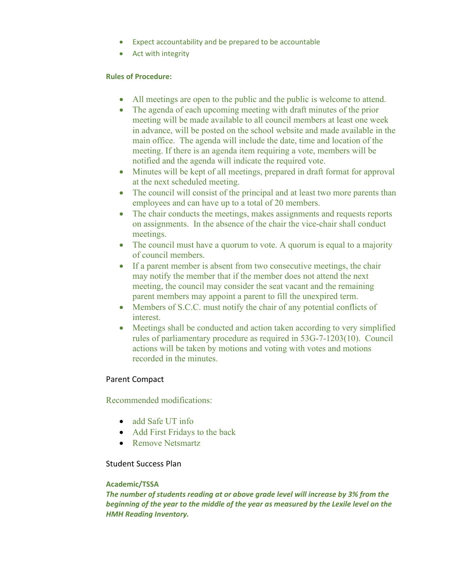- Expect accountability and be prepared to be accountable
- Act with integrity

## **Rules of Procedure:**

- All meetings are open to the public and the public is welcome to attend.
- The agenda of each upcoming meeting with draft minutes of the prior meeting will be made available to all council members at least one week in advance, will be posted on the school website and made available in the main office. The agenda will include the date, time and location of the meeting. If there is an agenda item requiring a vote, members will be notified and the agenda will indicate the required vote.
- Minutes will be kept of all meetings, prepared in draft format for approval at the next scheduled meeting.
- The council will consist of the principal and at least two more parents than employees and can have up to a total of 20 members.
- The chair conducts the meetings, makes assignments and requests reports on assignments. In the absence of the chair the vice-chair shall conduct meetings.
- The council must have a quorum to vote. A quorum is equal to a majority of council members.
- If a parent member is absent from two consecutive meetings, the chair may notify the member that if the member does not attend the next meeting, the council may consider the seat vacant and the remaining parent members may appoint a parent to fill the unexpired term.
- Members of S.C.C. must notify the chair of any potential conflicts of interest.
- Meetings shall be conducted and action taken according to very simplified rules of parliamentary procedure as required in 53G-7-1203(10). Council actions will be taken by motions and voting with votes and motions recorded in the minutes.

## Parent Compact

Recommended modifications:

- add Safe UT info
- Add First Fridays to the back
- Remove Netsmartz

# Student Success Plan

## **Academic/TSSA**

*The number of students reading at or above grade level will increase by 3% from the beginning of the year to the middle of the year as measured by the Lexile level on the HMH Reading Inventory.*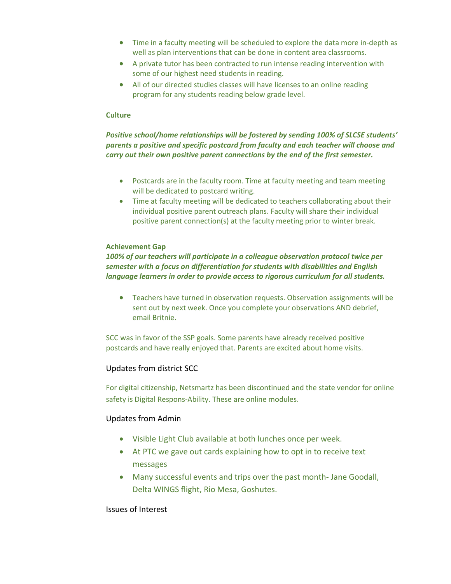- Time in a faculty meeting will be scheduled to explore the data more in-depth as well as plan interventions that can be done in content area classrooms.
- A private tutor has been contracted to run intense reading intervention with some of our highest need students in reading.
- All of our directed studies classes will have licenses to an online reading program for any students reading below grade level.

#### **Culture**

*Positive school/home relationships will be fostered by sending 100% of SLCSE students' parents a positive and specific postcard from faculty and each teacher will choose and carry out their own positive parent connections by the end of the first semester.*

- Postcards are in the faculty room. Time at faculty meeting and team meeting will be dedicated to postcard writing.
- Time at faculty meeting will be dedicated to teachers collaborating about their individual positive parent outreach plans. Faculty will share their individual positive parent connection(s) at the faculty meeting prior to winter break.

#### **Achievement Gap**

*100% of our teachers will participate in a colleague observation protocol twice per semester with a focus on differentiation for students with disabilities and English language learners in order to provide access to rigorous curriculum for all students.*

• Teachers have turned in observation requests. Observation assignments will be sent out by next week. Once you complete your observations AND debrief, email Britnie.

SCC was in favor of the SSP goals. Some parents have already received positive postcards and have really enjoyed that. Parents are excited about home visits.

## Updates from district SCC

For digital citizenship, Netsmartz has been discontinued and the state vendor for online safety is Digital Respons-Ability. These are online modules.

## Updates from Admin

- Visible Light Club available at both lunches once per week.
- At PTC we gave out cards explaining how to opt in to receive text messages
- Many successful events and trips over the past month- Jane Goodall, Delta WINGS flight, Rio Mesa, Goshutes.

## Issues of Interest